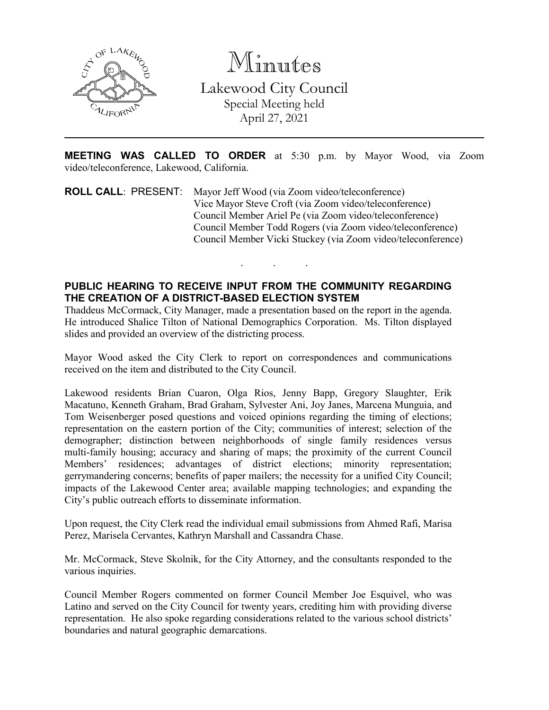

Minutes Lakewood City Council Special Meeting held April 27, 2021

**MEETING WAS CALLED TO ORDER** at 5:30 p.m. by Mayor Wood, via Zoom video/teleconference, Lakewood, California.

**ROLL CALL**: PRESENT: Mayor Jeff Wood (via Zoom video/teleconference) Vice Mayor Steve Croft (via Zoom video/teleconference) Council Member Ariel Pe (via Zoom video/teleconference) Council Member Todd Rogers (via Zoom video/teleconference) Council Member Vicki Stuckey (via Zoom video/teleconference)

. . .

## **PUBLIC HEARING TO RECEIVE INPUT FROM THE COMMUNITY REGARDING THE CREATION OF A DISTRICT-BASED ELECTION SYSTEM**

Thaddeus McCormack, City Manager, made a presentation based on the report in the agenda. He introduced Shalice Tilton of National Demographics Corporation. Ms. Tilton displayed slides and provided an overview of the districting process.

Mayor Wood asked the City Clerk to report on correspondences and communications received on the item and distributed to the City Council.

Lakewood residents Brian Cuaron, Olga Rios, Jenny Bapp, Gregory Slaughter, Erik Macatuno, Kenneth Graham, Brad Graham, Sylvester Ani, Joy Janes, Marcena Munguia, and Tom Weisenberger posed questions and voiced opinions regarding the timing of elections; representation on the eastern portion of the City; communities of interest; selection of the demographer; distinction between neighborhoods of single family residences versus multi-family housing; accuracy and sharing of maps; the proximity of the current Council Members' residences; advantages of district elections; minority representation; gerrymandering concerns; benefits of paper mailers; the necessity for a unified City Council; impacts of the Lakewood Center area; available mapping technologies; and expanding the City's public outreach efforts to disseminate information.

Upon request, the City Clerk read the individual email submissions from Ahmed Rafi, Marisa Perez, Marisela Cervantes, Kathryn Marshall and Cassandra Chase.

Mr. McCormack, Steve Skolnik, for the City Attorney, and the consultants responded to the various inquiries.

Council Member Rogers commented on former Council Member Joe Esquivel, who was Latino and served on the City Council for twenty years, crediting him with providing diverse representation. He also spoke regarding considerations related to the various school districts' boundaries and natural geographic demarcations.